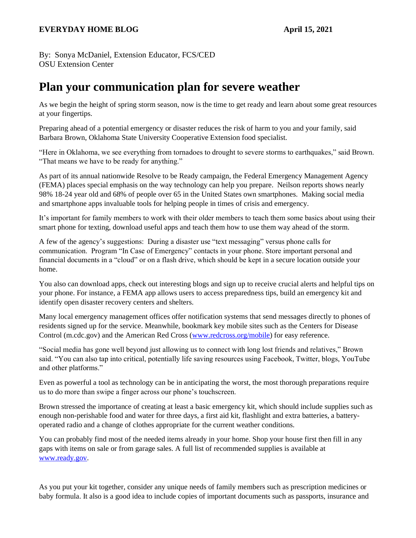By: Sonya McDaniel, Extension Educator, FCS/CED OSU Extension Center

## **Plan your communication plan for severe weather**

As we begin the height of spring storm season, now is the time to get ready and learn about some great resources at your fingertips.

Preparing ahead of a potential emergency or disaster reduces the risk of harm to you and your family, said Barbara Brown, Oklahoma State University Cooperative Extension food specialist.

"Here in Oklahoma, we see everything from tornadoes to drought to severe storms to earthquakes," said Brown. "That means we have to be ready for anything."

As part of its annual nationwide Resolve to be Ready campaign, the Federal Emergency Management Agency (FEMA) places special emphasis on the way technology can help you prepare. Neilson reports shows nearly 98% 18-24 year old and 68% of people over 65 in the United States own smartphones. Making social media and smartphone apps invaluable tools for helping people in times of crisis and emergency.

It's important for family members to work with their older members to teach them some basics about using their smart phone for texting, download useful apps and teach them how to use them way ahead of the storm.

A few of the agency's suggestions: During a disaster use "text messaging" versus phone calls for communication. Program "In Case of Emergency" contacts in your phone. Store important personal and financial documents in a "cloud" or on a flash drive, which should be kept in a secure location outside your home.

You also can download apps, check out interesting blogs and sign up to receive crucial alerts and helpful tips on your phone. For instance, a FEMA app allows users to access preparedness tips, build an emergency kit and identify open disaster recovery centers and shelters.

Many local emergency management offices offer notification systems that send messages directly to phones of residents signed up for the service. Meanwhile, bookmark key mobile sites such as the Centers for Disease Control (m.cdc.gov) and the American Red Cross [\(www.redcross.org/mobile\)](http://www.redcross.org/mobile) for easy reference.

"Social media has gone well beyond just allowing us to connect with long lost friends and relatives," Brown said. "You can also tap into critical, potentially life saving resources using Facebook, Twitter, blogs, YouTube and other platforms."

Even as powerful a tool as technology can be in anticipating the worst, the most thorough preparations require us to do more than swipe a finger across our phone's touchscreen.

Brown stressed the importance of creating at least a basic emergency kit, which should include supplies such as enough non-perishable food and water for three days, a first aid kit, flashlight and extra batteries, a batteryoperated radio and a change of clothes appropriate for the current weather conditions.

You can probably find most of the needed items already in your home. Shop your house first then fill in any gaps with items on sale or from garage sales. A full list of recommended supplies is available at [www.ready.gov.](http://www.ready.gov/)

As you put your kit together, consider any unique needs of family members such as prescription medicines or baby formula. It also is a good idea to include copies of important documents such as passports, insurance and